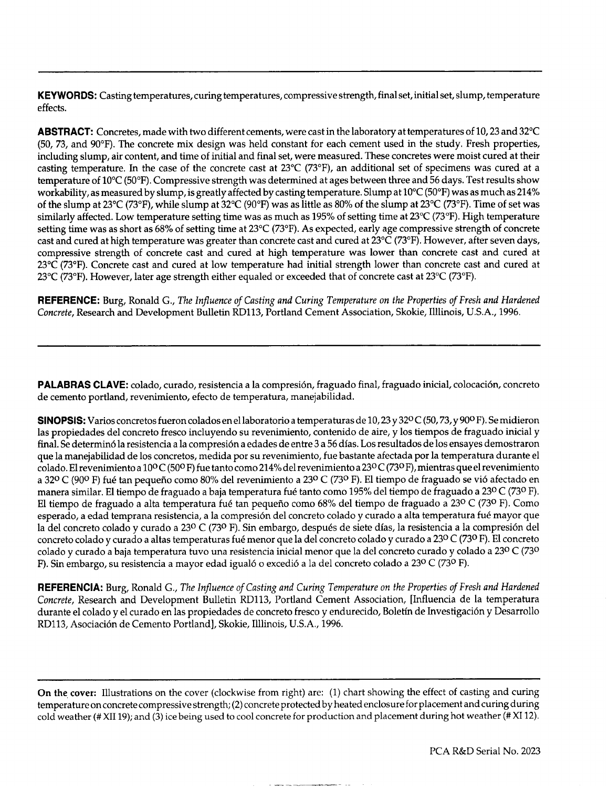KEYWORDS: Casting temperatures, curing temperatures, compressive strength, final set, initial set, slump, temperature effects.

ABSTRACT: Concretes, made with two different cements, were cast in the laboratory at temperatures of 10,23 and 32°C (50, 73, and 90"F). The concrete mix design was held constant for each cement used in the study. Fresh properties, including slump, air content, and time of initial and final set, were measured. These concretes were moist cured at their casting temperature. In the case of the concrete cast at 23°C (73°F), an additional set of specimens was cured at a temperature of 10"C (50°F). Compressive strength was determined at ages between three and 56 days, Test results show workability, as measured by slump, is greatly affected by casting temperature. Slump at 10"C (50"F) was as much as **214~0** of the slump at 23°C (73"F), while slump at 32°C (90"F) was as little as 80% of the slump at 23°C (73"F). Time of set was similarly affected. Low temperature setting time was as much as 195% of setting time at 23°C (73°F). High temperature setting time was as short as 68% of setting time at 23°C (73°F). As expected, early age compressive strength of concrete cast and cured at high temperature was greater than concrete cast and cured at 23°C (73"F). However, after seven days, compressive strength of concrete cast and cured at high temperature was lower than concrete cast and cured at 23°C (73"F). Concrete cast and cured at low temperature had initial strength lower than concrete cast and cured at 23°C (73°F). However, later age strength either equaled or exceeded that of concrete cast at 23°C (73"F).

REFERENCE: Burg, Ronald G., *The influence of Casting and Curing Temperature on the Properties of Fresh and Hardened Concrete,* Research and Development Bulletin RD113, Portland Cement Association, Skokie, Illlinois, U.S.A., 1996.

PALABRAS CLAVE: colado, curado, resistencia a la compresión, fraguado final, fraguado inicial, colocación, concreto de cemento portland, revenimiento, efecto de temperature, manejabilidad.

SINOPSIS: Varios concretos fueron colados en el laboratorio a temperaturas de 10, 23 y 32º C (50, 73, y 90º F). Se midieron las propiedades del concreto fresco incluyendo su revenimiento, contenido de aire, y los tiempos de fraguado inicial y final. Se determinó la resistencia a la compresión a edades de entre 3 a 56 días. Los resultados de los ensayes demostraron que la manejabilidad de 10S concretos, medida por su revenimiento, fue bastante afectada por la temperature durante el colado. El revenimiento a 10° C (500 F) fue tanto como **214~0** del revenimiento a 23° C (73° F), mientras que el revenimiento a 32º C (90º F) fué tan pequeño como 80% del revenimiento a 23º C (73º F). El tiempo de fraguado se vió afectado en manera similar. El tiempo de fraguado a baja temperatura fué tanto como 195% del tiempo de fraguado a 23° C (73° F). El tiempo de fraguado a alta temperatura fué tan pequeño como 68% del tiempo de fraguado a 23º C (73º F). Como esperado, a edad temprana resistencia, a la compresión del concreto colado y curado a alta temperatura fué mayor que la del concreto colado y curado a 23º C (73º F). Sin embargo, después de siete días, la resistencia a la compresión del concreto colado y curado a altas temperatures fud menor que la del concreto colado y curado a 230 C (730 F). El concreto colado y curado a baja temperatura tuvo una resistencia inicial menor que la del concreto curado y colado a 23º C (73º F). Sin embargo, su resistencia a mayor edad igua16 o excedi6 a la del concreto colado a 230 C (730 F).

REFERENCIA: Burg, Ronald G., *The lnjkence of Casting and Curing Temperature on the Properties of Fresh and Hardened Concrete,* Research and Development Bulletin RD113, Portland Cement Association, [Influencia de la temperature durante el colado y el curado en Ias propiedades de concreto fresco y endurecido, Boletin de Investigation y Desarrollo RD113, Asociaci6n de Cemento Portland], Skokie, Illlinois, U.S.A., 1996.

On the cover: Illustrations on the cover (clockwise from right) are: (1) chart showing the effect of casting and curing temperature on concrete compressive strength;(2) concrete protected by heated enclosure for placement and curing during cold weather (# XII 19); and (3) ice being used to cool concrete for production and placement during hot weather (# XI 12).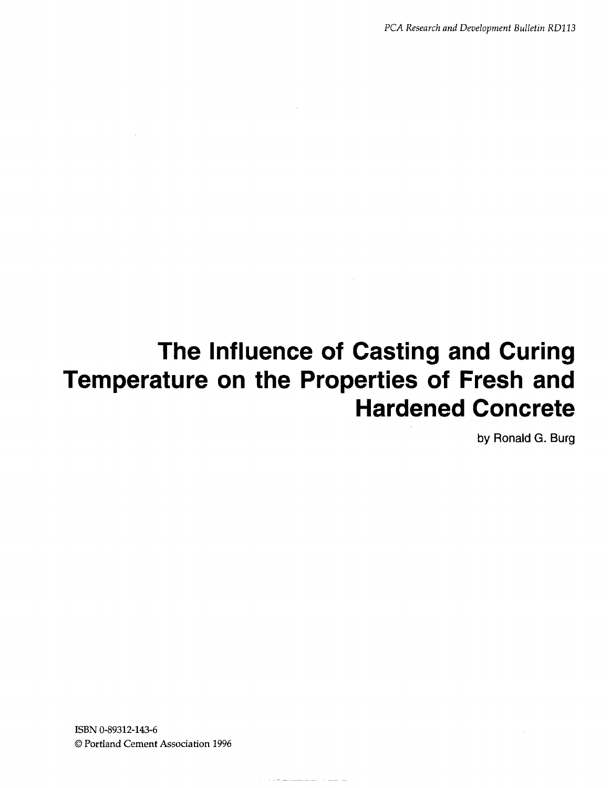*PCA Research and Development BulletinRD113*

# **The Influence of Casting and Curing Temperature on the Properties of Fresh and Hardened Concrete**

 $\label{eq:3} \begin{split} \mathcal{L}_{\mathcal{A}}=\mathcal{L}_{\mathcal{A}}\left(\mathcal{L}_{\mathcal{A}}\right)=\mathcal{L}_{\mathcal{A}}\left(\mathcal{L}_{\mathcal{A}}\right)=\mathcal{L}_{\mathcal{A}}\left(\mathcal{L}_{\mathcal{A}}\right)=\mathcal{L}_{\mathcal{A}}\left(\mathcal{L}_{\mathcal{A}}\right)=\mathcal{L}_{\mathcal{A}}\left(\mathcal{L}_{\mathcal{A}}\right)=\mathcal{L}_{\mathcal{A}}\left(\mathcal{L}_{\mathcal{A}}\right)=\mathcal{L}_{\mathcal{A}}\left(\mathcal{L}_{\math$ 

by Ronald G. Burg

ISBN 0-89312-143-6 0 Portland Cement Association 1996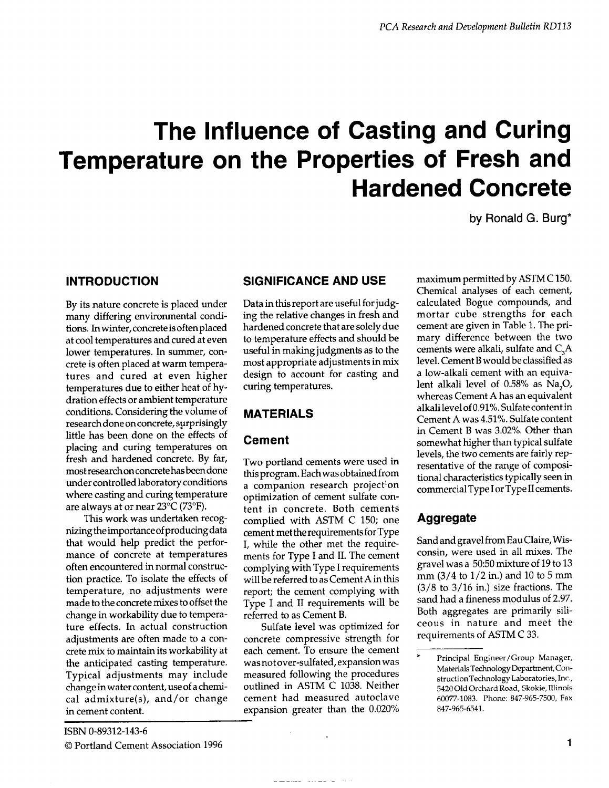# **The Influence of Casting and Curing Temperature on the Properties of Fresh and Hardened Concrete**

by Ronald G. Burg\*

## **INTRODUCTION**

By its nature concrete is placed under many differing environmental conditions. In winter, concrete is often placed at cool temperatures and cured at even lower temperatures. In summer, concrete is often placed at warm temperatures and cured at even higher temperatures due to either heat of hydration effects or ambient temperature conditions. Considering the volume of research done on concrete, surprisingly little has been done on the effects of placing and curing temperatures on fresh and hardened concrete. By far, most research on concrete has been done under controlled laboratory conditions where casting and curing temperature are always at or near 23°C (73"F).

This work was undertaken recognizingthe importance of producing data that would help predict the performance of concrete at temperatures often encountered in normal construction practice. To isolate the effects of temperature, no adjustments were made to the concrete mixes to offset the change in workability due to temperature effects. In actual construction adjustments are often made to a concrete mix to maintain its workability at the anticipated casting temperature. Typical adjustments may include change in water content, use of a chemical admixture(s), and/or change in cement content.

# **SIGNIFICANCE AND USE**

Data in this report are useful for judging the relative changes in fresh and hardened concrete that are solely due to temperature effects and should be useful in making judgments as to the most appropriate adjustments in mix design to account for casting and curing temperatures.

## **MATERIALS**

## **Cement**

Two portland cements were used in this program. Each was obtained from a companion research project<sup>1</sup>on optimization of cement sulfate content in concrete. Both cements complied with ASTM C 150; one cement met the requirements for Type I, while the other met the requirements for Type I and II. The cement complying with Type I requirements will be referred to as Cement A in this report; the cement complying with Type I and II requirements will be referred to as Cement B.

Sulfate level was optimized for concrete compressive strength for each cement, To ensure the cement was not over-sulfated, expansion was measured following the procedures outlined in ASTM C 1038. Neither cement had measured autoclave expansion greater than the 0.020%

maximum permitted by ASTM C 150. Chemical analyses of each cement, calculated Bogue compounds, and mortar cube strengths for each cement are given in Table 1. The primary difference between the two cements were alkali, sulfate and C<sub>2</sub>A level. Cement B would be classified as a low-alkali cement with an equivalent alkali level of 0.58% as Na<sub>2</sub>O, whereas Cement A has an equivalent alkali level of 0.91%. Sulfate content in Cement A was 4.51%. Sulfate content in Cement B was 3.02%. Other than somewhat higher than typical sulfate levels, the two cements are fairly representative of the range of compositional characteristics typically seen in commercial Type I or Type II cements.

# **Aggregate**

Sand and gravel from EauClaire, Wisconsin, were used in all mixes. The gravel was a 50:50 mixture of 19 to 13 mm  $(3/4 \text{ to } 1/2 \text{ in.})$  and 10 to 5 mm  $(3/8$  to  $3/16$  in.) size fractions. The sand had a fineness modulus of 2.97. Both aggregates are primarily siliceous in nature and meet the requirements of ASTM C 33.

Principal Engineer/Group Manager, MaterialsTechnologyDepartment,Construction Technology Laboratories, Inc., 5420 Old Orchard Road, Skokie, Illinois 60077-1083. Phone: 847-965-7500, Fax 847-965-6541.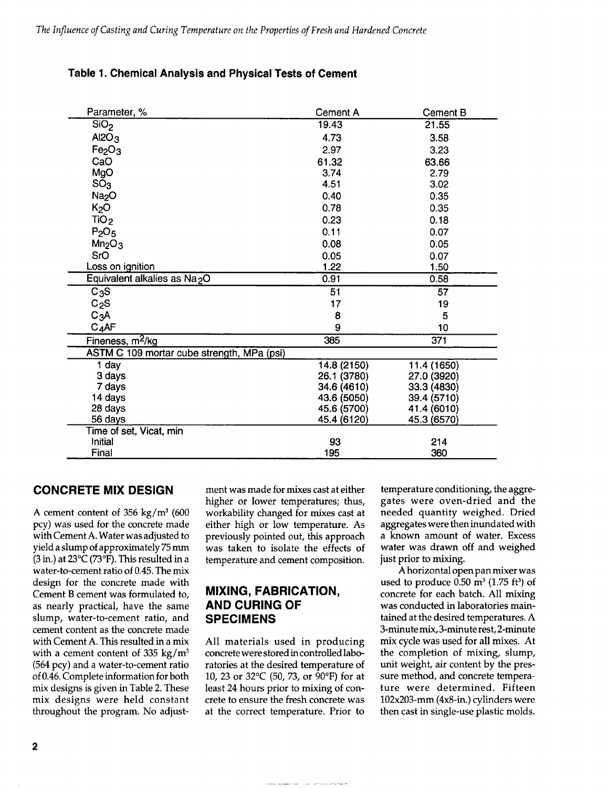### **Table 1. Chemical Analysis and Physical Tests of Cement**

| Parameter, %                               | <b>Cement A</b> | <b>Cement B</b> |
|--------------------------------------------|-----------------|-----------------|
| SiO <sub>2</sub>                           | 19.43           | 21.55           |
| Al2O <sub>3</sub>                          | 4.73            | 3.58            |
| Fe <sub>2</sub> O <sub>3</sub>             | 2.97            | 3.23            |
| CaO                                        | 61.32           | 63.66           |
| MgO                                        | 3.74            | 2.79            |
| SO <sub>3</sub>                            | 4.51            | 3.02            |
| Na <sub>2</sub> O                          | 0.40            | 0.35            |
| K <sub>2</sub> O                           | 0.78            | 0.35            |
| TiO <sub>2</sub>                           | 0.23            | 0.18            |
| P <sub>2</sub> O <sub>5</sub>              | 0.11            | 0.07            |
| Mn <sub>2</sub> O <sub>3</sub>             | 0.08            | 0.05            |
| SrO                                        | 0.05            | 0.07            |
| Loss on ignition                           | 1.22            | 1.50            |
| Equivalent alkalies as Na <sub>2</sub> O   | 0.91            | 0.58            |
| $C_3S$                                     | 51              | 57              |
| C <sub>2</sub> S                           | 17              | 19              |
| C <sub>3</sub> A                           | 8               | 5               |
| C <sub>4</sub> AF                          | 9               | 10              |
| Fineness, m <sup>2</sup> /kg               | 385             | 371             |
| ASTM C 109 mortar cube strength, MPa (psi) |                 |                 |
| 1 day                                      | 14.8 (2150)     | 11.4 (1650)     |
| 3 days                                     | 26.1 (3780)     | 27.0 (3920)     |
| 7 days                                     | 34.6 (4610)     | 33.3 (4830)     |
| 14 days                                    | 43.6 (5050)     | 39.4 (5710)     |
| 28 days                                    | 45.6 (5700)     | 41.4 (6010)     |
| 56 days                                    | 45.4 (6120)     | 45.3 (6570)     |
| Time of set, Vicat, min                    |                 |                 |
| Initial                                    | 93              | 214             |
| Final                                      | 195             | 360             |

## **CONCRETE MIX DESIGN**

A cement content of 356 kg/ $m^3$  (600 pcy) was used for the concrete made with Cement A. Water was adjusted to yield a slump of approximately 75 mm (3 in.) at  $23^{\circ}C$  (73°F). This resulted in a water-to-cement ratio of 0.45. The mix design for the concrete made with Cement B cement was formulated to, as nearly practical, have the same slump, water-to-cement ratio, and cement content as the concrete made with Cement A. This resulted in a mix with a cement content of 335 kg/ $m<sup>3</sup>$ (564 pcy) and a water-to-cement ratio of 0.46. Complete information for both mix designs is given in Table 2. These mix designs were held constant throughout the program. No adjustment was made for mixes cast at either higher or lower temperatures; thus, workability changed for mixes cast at either high or low temperature. As previously pointed out, this approach was taken to isolate the effects of temperature and cement composition.

## **MIXING, FABRICATION, AND CURING OF SPECIMENS**

All materials used in producing concrete were stored in controlled laboratories at the desired temperature of 10, 23 or 32°C (50, 73, or 90"F) for at least 24 hours prior to mixing of concrete to ensure the fresh concrete was at the correct temperature. Prior to

temperature conditioning, the aggregates were oven-dried and the needed quantity weighed. Dried aggregates were then inundated with a known amount of water. Excess water was drawn off and weighed just prior to mixing.

A horizontal open pan mixer was used to produce  $0.50 \text{ m}^3$  (1.75 ft<sup>3</sup>) of concrete for each batch. All mixing was conducted in laboratories maintained at the desired temperatures. A 3-minute mix, 3-minute rest, 2-minute mix cycle was used for all mixes. At the completion of mixing, slump, unit weight, air content by the pressure method, and concrete temperature were determined. Fifteen 102x203-mm (4x8-in.) cylinders were then cast in single-use plastic molds.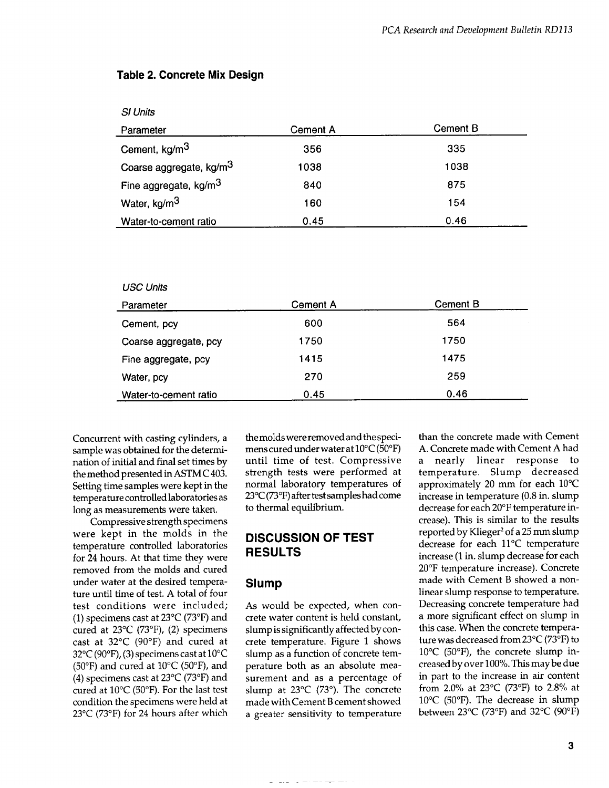#### **Table 2. Concrete Mix Design**

| <b>SI Units</b>                     |                 |                 |
|-------------------------------------|-----------------|-----------------|
| Parameter                           | <b>Cement A</b> | <b>Cement B</b> |
| Cement, kg/m <sup>3</sup>           | 356             | 335             |
| Coarse aggregate, kg/m <sup>3</sup> | 1038            | 1038            |
| Fine aggregate, kg/m <sup>3</sup>   | 840             | 875             |
| Water, kg/m <sup>3</sup>            | 160             | 154             |
| Water-to-cement ratio               | 0.45            | 0.46            |

| <b>USC Units</b> |  |
|------------------|--|
|------------------|--|

| Parameter             | Cement A | <b>Cement B</b> |
|-----------------------|----------|-----------------|
| Cement, pcy           | 600      | 564             |
| Coarse aggregate, pcy | 1750     | 1750            |
| Fine aggregate, pcy   | 1415     | 1475            |
| Water, pcy            | 270      | 259             |
| Water-to-cement ratio | 0.45     | 0.46            |

Concurrent with casting cylinders, a sample was obtained for the determination of initial and final set times by the method presented in ASTM C 403. Setting time samples were kept in the temperature controlled laboratories as long as measurements were taken.

Compressive strength specimens were kept in the molds in the temperature controlled laboratories for 24 hours. At that time they were removed from the molds and cured under water at the desired temperature until time of test. A total of four test conditions were included; (1) specimens cast at  $23^{\circ}$ C (73°F) and cured at 23°C (73°F), (2) specimens cast at 32°C (90°F) and cured at 32°C (90°F), (3) specimens cast at 10°C (50 $\textdegree$ F) and cured at 10 $\textdegree$ C (50 $\textdegree$ F), and (4) specimens cast at  $23^{\circ}$ C (73°F) and cured at 10"C (50"F). For the last test condition the specimens were held at 23°C (73°F) for 24 hours after which the molds were removed and the specimens cured under water at  $10^{\circ}$ C (50 $^{\circ}$ F) until time of test. Compressive strength tests were performed at normal laboratory temperatures of 23°C (73"F) after test samples had come to thermal equilibrium.

## **DISCUSSION OF TEST RESULTS**

#### **Slump**

As would be expected, when concrete water content is held constant, slump is significantly affected by concrete temperature. Figure 1 shows slump as a function of concrete temperature both as an absolute measurement and as a percentage of slump at 23°C (73°). The concrete made with Cement B cement showed a greater sensitivity to temperature

than the concrete made with Cement A. Concrete made with Cement A had a nearly linear response to temperature. Slump decreased approximately 20 mm for each 10"C increase in temperature (0.8 in. slump decrease for each 20"F temperature increase). This is similar to the results reported by Klieger<sup>2</sup> of a 25 mm slump decrease for each ll°C temperature increase (1 in. slump decrease for each 20°F temperature increase). Concrete made with Cement B showed a nonlinear slump response to temperature. Decreasing concrete temperature had a more significant effect on slump in this case. When the concrete temperature was decreased from23°C (73"F) to  $10^{\circ}$ C (50 $^{\circ}$ F), the concrete slump increased by over 100Yo.This maybe due in part to the increase in air content from 2.0% at 23°C (73°F) to 2.8% at 10"C (50°F). The decrease in slump between 23°C (73"F) and 32°C (90°F)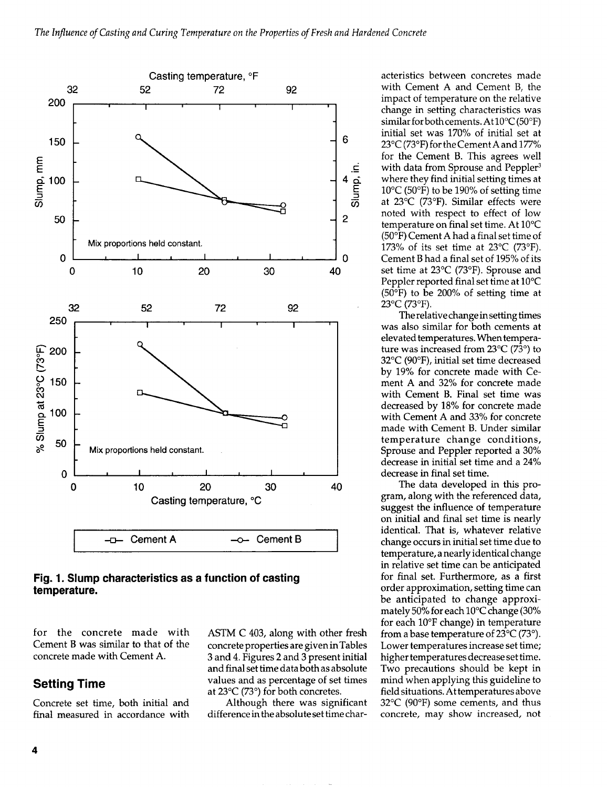

#### **Fig. 1. Slump characteristics as a function of casting temperature.**

for the concrete made with ASTM C 403, along with other fresh Cement B was similar to that of the concrete properties are given in Tables concrete made with Cement A. 3 and 4. Figures 2 and 3 present initial

# **Setting Time**

Concrete set time, both initial and final measured in

and final set time data both as absolute values and as percentage of set times at 23°C (73°) for both concretes.

Although there was significant difference in the absolute set time char-

acteristics between concretes made with Cement A and Cement B, the impact of temperature on the relative change in setting characteristics was similar for both cements. At  $10^{\circ}$ C (50°F) initial set was 170% of initial set at 23 $\rm ^{\circ}C$  (73 $\rm ^{\circ}F$ ) for the Cement A and 177% for the Cement B. This agrees well with data from Sprouse and Peppler<sup>3</sup> where they find initial setting times at 10°C (50°F) to be 190% of setting time at 23°C (73"F). Similar effects were noted with respect to effect of low temperature on final set time. At 10"C (50°F) Cement A had a final set time of 173% of its set time at  $23^{\circ}$ C (73°F). Cement B had a final set of 195% of its set time at 23°C (73°F). Sprouse and Peppier reported final set time at 10°C (50°F) to be 200% of setting time at  $23^{\circ}$ C (73 $^{\circ}$ F).

The relative change insetting times was also similar for both cements at elevated temperatures. When temperature was increased from 23°C (73°) to 32°C (90"F), initial set time decreased by 19% for concrete made with Cement A and 32% for concrete made with Cement B. Final set time was decreased by 18% for concrete made with Cement A and 33% for concrete made with Cement B. Under similar temperature change conditions, Sprouse and Peppier reported a 30'% decrease in initial set time and a 24% decrease in final set time.

The data developed in this program, along with the referenced data, suggest the influence of temperature on initial and final set time is nearly identical. That is, whatever relative change occurs in initial set time due to temperature, a nearly identical change in relative set time can be anticipated for final set. Furthermore, as a first order approximation, setting time can be anticipated to change approximately 50% for each  $10^{\circ}$ C change (30% for each 10"F change) in temperature from a base temperature of  $23^{\circ}C$  (73°). Lower temperatures increase set time; higher temperatures decrease set time. Two precautions should be kept in mind when applying this guideline to field situations. At temperatures above 32°C (90"F) some cements, and thus concrete, may show increased, not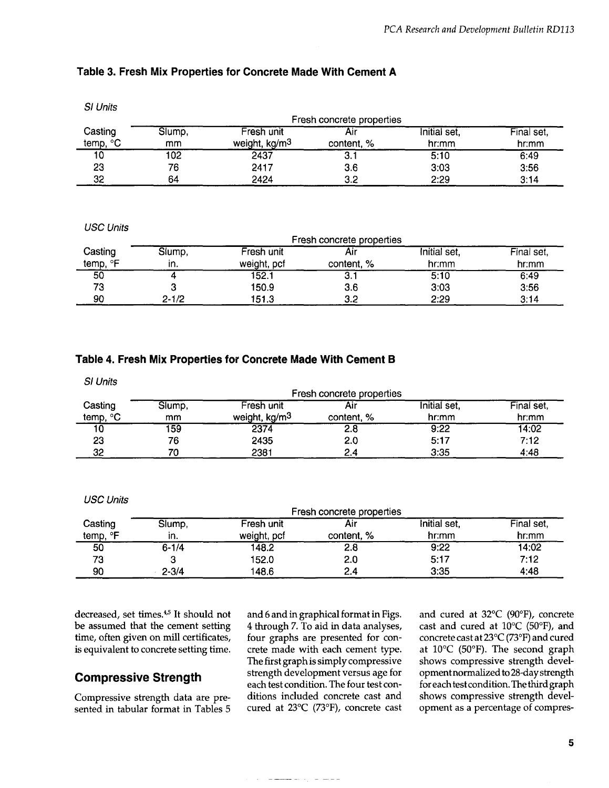### **Table 3. Fresh Mix Properties for Concrete Made With Cement A**

| Fresh concrete properties |        |                           |            |              |            |
|---------------------------|--------|---------------------------|------------|--------------|------------|
| Casting                   | Slump, | Fresh unit                | Air        | Initial set, | Final set, |
| °C<br>temp,               | mm     | weight, kg/m <sup>3</sup> | content, % | hr:mm        | hr:mm      |
| 10                        | 102    | 2437                      | ا . ت      | 5:10         | 6:49       |
| 23                        | 76     | 2417                      | 3.6        | 3:03         | 3:56       |
| 32                        | 64     | 2424                      | 3.2        | 2:29         | 3:14       |

#### USC Units

|             | Fresh concrete properties |             |            |              |            |
|-------------|---------------------------|-------------|------------|--------------|------------|
| Casting     | Siump,                    | Fresh unit  | Aır        | Initial set, | Final set, |
| ∘⊏<br>temp, | ın.                       | weight, pcf | content, % | hr:mm        | hr:mm      |
| 50          |                           | 152.1       | o.         | 5:10         | 6:49       |
| 73          |                           | 150.9       | 3.6        | 3:03         | 3:56       |
| 90          | 2-1/2                     | 151.3       | 3.2        | 2:29         | 3:14       |

#### **Table 4. Fresh Mix Properties for Concrete Made With Cement B**

**S1**Units

|          | Fresh concrete properties |                           |            |       |       |
|----------|---------------------------|---------------------------|------------|-------|-------|
| Casting  | Slump,                    | Initial set.              | Final set, |       |       |
| temp, °C | mm                        | weight, kg/m <sup>3</sup> | content, % | hr:mm | hr:mm |
| 10       | 159                       | 2374                      | 2.8        | 9:22  | 14:02 |
| 23       | 76                        | 2435                      | 2.0        | 5:17  | 7:12  |
| 32       | 70                        | 2381                      | 2.4        | 3:35  | 4:48  |

#### USC Units

|                     | Fresh concrete properties |                           |                   |                       |                     |
|---------------------|---------------------------|---------------------------|-------------------|-----------------------|---------------------|
| Casting<br>temp, °F | Slump,<br>in.             | Fresh unit<br>weight, pcf | Aır<br>content, % | Initial set,<br>hr:mm | Final set,<br>hr:mm |
| 50                  | $6 - 1/4$                 | 148.2                     | 2.8               | 9:22                  | 14:02               |
| 73                  |                           | 152.0                     | 2.0               | 5:17                  | 7:12                |
| 90                  | $2 - 3/4$                 | 148.6                     | 2.4               | 3:35                  | 4:48                |

decreased, set times.<sup>4,5</sup> It should not be assumed that the cement setting time, often given on mill certificates, is equivalent to concrete setting time.

## **Compressive Strength**

Compressive strength data are presented in tabular format in Tables 5 and 6 and in graphical format in Figs. 4 through 7. To aid in data analyses, four graphs are presented for concrete made with each cement type. The first graph is simply compressive strength development versus age for each test condition. The four test conditions included concrete cast and cured at 23°C (73"F), concrete cast

 $\frac{1}{2} \left( \frac{1}{2} \frac{1}{2} \frac{1}{2} \frac{1}{2} \frac{1}{2} \frac{1}{2} \frac{1}{2} \frac{1}{2} \frac{1}{2} \frac{1}{2} \frac{1}{2} \frac{1}{2} \frac{1}{2} \frac{1}{2} \frac{1}{2} \frac{1}{2} \frac{1}{2} \frac{1}{2} \frac{1}{2} \frac{1}{2} \frac{1}{2} \frac{1}{2} \frac{1}{2} \frac{1}{2} \frac{1}{2} \frac{1}{2} \frac{1}{2} \frac{1}{2} \frac{1}{2} \frac{1}{2}$ 

and cured at 32°C (90°F), concrete cast and cured at 10"C (50"F), and concrete cast at 23°C (73"F) and cured at 10"C (50°F). The second graph shows compressive strength development normalized to 28-day strength foreachtestcondition. Thethirdgraph shows compressive strength development as a percentage of compres-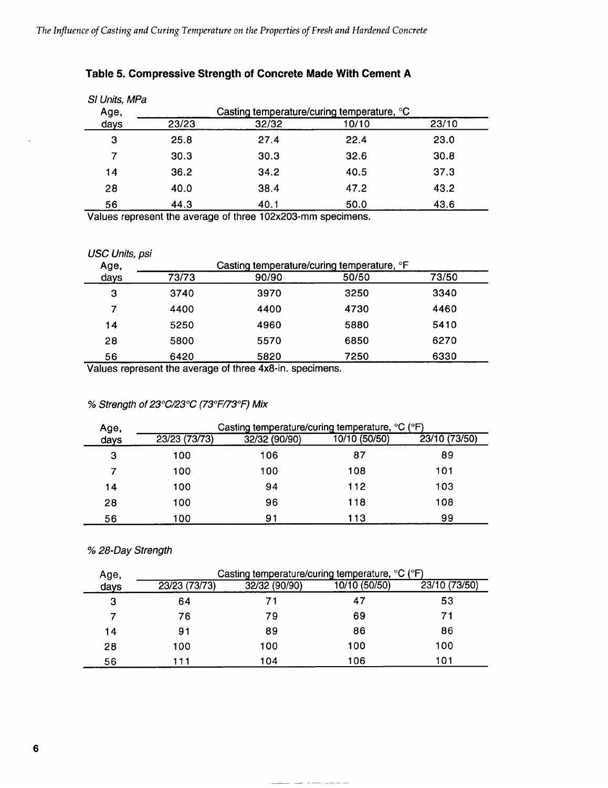| SI Units, MPa<br>Age, |       | Casting temperature/curing temperature, °C |       |       |
|-----------------------|-------|--------------------------------------------|-------|-------|
| days                  | 23/23 | 32/32                                      | 10/10 | 23/10 |
| 3                     | 25.8  | 27.4                                       | 22.4  | 23.0  |
| 7                     | 30.3  | 30.3                                       | 32.6  | 30.8  |
| 14                    | 36.2  | 34.2                                       | 40.5  | 37.3  |
| 28                    | 40.0  | 38.4                                       | 47.2  | 43.2  |
| 56                    | 44.3  | 40.1                                       | 50.0  | 43.6  |

# **Table 5. Compressive Strength of Concrete Made With Cement A**

Values represent the average of three 102x203-mm specimens.

#### USC Units, psi

 $\ddot{\phantom{a}}$ 

| Age, | Casting temperature/curing temperature, <sup>o</sup> F |       |       |       |  |
|------|--------------------------------------------------------|-------|-------|-------|--|
| days | 73/73                                                  | 90/90 | 50/50 | 73/50 |  |
| з    | 3740                                                   | 3970  | 3250  | 3340  |  |
|      | 4400                                                   | 4400  | 4730  | 4460  |  |
| 14   | 5250                                                   | 4960  | 5880  | 5410  |  |
| 28   | 5800                                                   | 5570  | 6850  | 6270  |  |
| 56   | 6420                                                   | 5820  | 7250  | 6330  |  |

Values represent the average of three 4x8-in. specimens.

## % Strength of 23°C/23°C (73°F/73°F) Mix

| Age, | Casting temperature/curing temperature, °C (°F) |               |               |               |  |
|------|-------------------------------------------------|---------------|---------------|---------------|--|
| days | 23/23 (73/73)                                   | 32/32 (90/90) | 10/10 (50/50) | 23/10 (73/50) |  |
| з    | 100                                             | 106           | 87            | 89            |  |
|      | 100                                             | 100           | 108           | 101           |  |
| 14   | 100                                             | 94            | 112           | 103           |  |
| 28   | 100                                             | 96            | 118           | 108           |  |
| 56   | 100                                             | 91            | 113           | 99            |  |

% 28-Day Strength

| Age, | Casting temperature/curing temperature, °C (°F) |               |               |               |
|------|-------------------------------------------------|---------------|---------------|---------------|
| days | 23/23 (73/73)                                   | 32/32 (90/90) | 10/10 (50/50) | 23/10 (73/50) |
| 3    | 64                                              |               | 47            | 53            |
|      | 76                                              | 79            | 69            | 71            |
| 14   | 91                                              | 89            | 86            | 86            |
| 28   | 100                                             | 100           | 100           | 100           |
| 56   | 11                                              | 104           | 106           | 101           |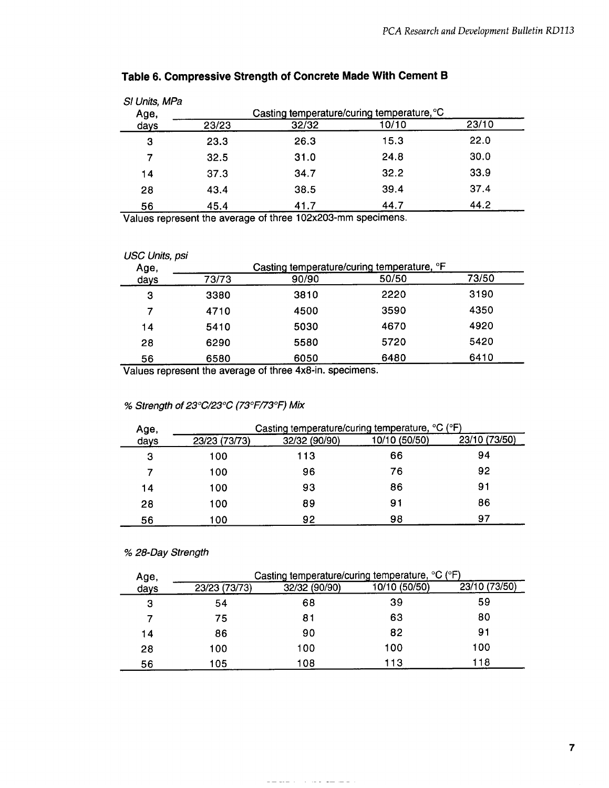| SI Units, MPa<br>Age, | Casting temperature/curing temperature, °C |       |       |       |
|-----------------------|--------------------------------------------|-------|-------|-------|
| days                  | 23/23                                      | 32/32 | 10/10 | 23/10 |
| з                     | 23.3                                       | 26.3  | 15.3  | 22.0  |
| 7                     | 32.5                                       | 31.0  | 24.8  | 30.0  |
| 14                    | 37.3                                       | 34.7  | 32.2  | 33.9  |
| 28                    | 43.4                                       | 38.5  | 39.4  | 37.4  |
| 56                    | 45.4                                       | 41.7  | 44.7  | 44.2  |

# **Table 6. Compressive Strength of Concrete Made With Cement B**

Values represent the average of three 102x203-mm specimens.

| <b>USC Units, psi</b><br>Age, | Casting temperature/curing temperature, °F |       |       |       |
|-------------------------------|--------------------------------------------|-------|-------|-------|
| days                          | 73/73                                      | 90/90 | 50/50 | 73/50 |
| 3                             | 3380                                       | 3810  | 2220  | 3190  |
| 7                             | 4710                                       | 4500  | 3590  | 4350  |
| 14                            | 5410                                       | 5030  | 4670  | 4920  |
| 28                            | 6290                                       | 5580  | 5720  | 5420  |
| 56                            | 6580                                       | 6050  | 6480  | 6410  |

Values represent the average of three 4x8-in. specimens.

#### % Strength of 23°C/23°C (73°F/73°F) Mix

| Age, | Casting temperature/curing temperature, °C (°F) |               |               |               |
|------|-------------------------------------------------|---------------|---------------|---------------|
| days | 23/23 (73/73)                                   | 32/32 (90/90) | 10/10 (50/50) | 23/10 (73/50) |
| 3    | 100                                             | 113           | 66            | 94            |
|      | 100                                             | 96            | 76            | 92            |
| 14   | 100                                             | 93            | 86            | 91            |
| 28   | 100                                             | 89            | 91            | 86            |
| 56   | 100                                             | 92            | 98            | 97            |

#### % 28-Day Strength

| Age,<br>days | Casting temperature/curing temperature, °C (°F) |               |               |               |
|--------------|-------------------------------------------------|---------------|---------------|---------------|
|              | 23/23 (73/73)                                   | 32/32 (90/90) | 10/10 (50/50) | 23/10 (73/50) |
| з            | 54                                              | 68            | 39            | 59            |
|              | 75                                              | 81            | 63            | 80            |
| 14           | 86                                              | 90            | 82            | 91            |
| 28           | 100                                             | 100           | 100           | 100           |
| 56           | 105                                             | 108           | 113           | 118           |

التاليب للتلويز الوادي والان التاريخ لتناولت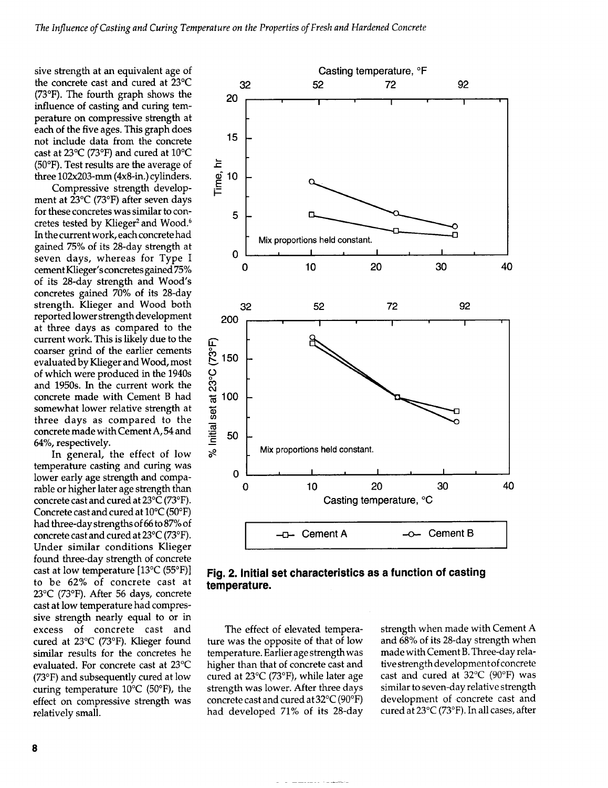sive strength at an equivalent age of the concrete cast and cured at 23°C (73"F). The fourth graph shows the influence of casting and curing temperature on compressive strength at each of the five ages. This graph does not include data from the concrete cast at 23°C (73°F) and cured at 10"C (50"F). Test results are the average of three 102x203-mm (4x8-in.) cylinders.

Compressive strength development at 23°C (73"F) after seven days for these concretes was similar to concretes tested by Klieger<sup>2</sup> and Wood.<sup>6</sup> In the current work, each concrete had gained 75% of its 28-day strength at seven days, whereas for Type I cement Klieger's concretes gained 75% of its 28-day strength and Wood's concretes gained 70% of its 28-day strength. Klieger and Wood both reported lower strength development at three days as compared to the current work. This is likely due to the coarser grind of the earlier cements evaluated by Klieger and Wood, most of which were produced in the 1940s and 1950s. In the current work the concrete made with Cement B had somewhat lower relative strength at three days as compared to the concrete made with Cement A, 54 and 64%, respectively.

In general, the effect of low temperature casting and curing was lower early age strength and comparable or higher later age strength than concrete cast and cured at 23°C (73"F). Concrete cast and cured at 10"C (50"F) had three-day strengths of 66 to 87% of concrete cast and cured at 23°C (73"F). Under similar conditions Klieger found three-day strength of concrete cast at low temperature [13°C (55"F)] to be 62% of concrete cast at 23°C (73"F). After 56 days, concrete cast at low temperature had compressive strength nearly equal to or in excess of concrete cast and cured at 23°C (73°F). Klieger found similar results for the concretes he evaluated. For concrete cast at 23°C (73"F) and subsequently cured at low curing temperature  $10^{\circ}$ C (50 $^{\circ}$ F), the effect on compressive strength was relatively small.





The effect of elevated temperature was the opposite of that of low temperature. Earlier age strength was higher than that of concrete cast and cured at 23°C (73°F), while later age strength was lower. After three days concrete cast and cured at 32°C (90"F) had developed 71% of its 28-day strength when made with Cement A and 68% of its 28-day strength when made with Cement B. Three-day relative strength development of concrete cast and cured at 32°C (90°F) was similar to seven-day relative strength development of concrete cast and cured at 23°C (73"F). In all cases, after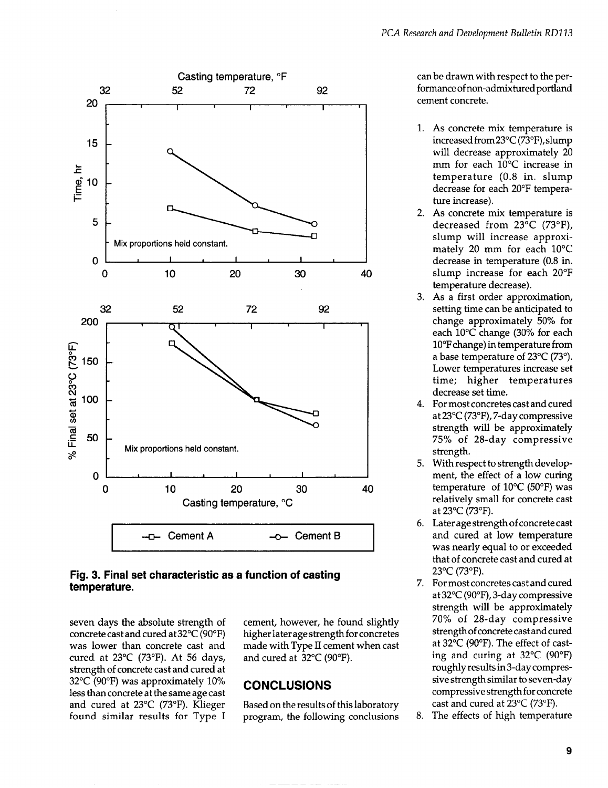

#### **Fig. 3. Final set characteristic as a function of casting temperature.**

seven days the absolute strength of concrete cast and cured at 32°C (90"F) was lower than concrete cast and cured at 23°C (73"F). At 56 days, strength of concrete cast and cured at 32°C (90°F) was approximately 10% less than concrete at the same age cast and cured at 23°C (73"F). Klieger found similar results for Type I cement, however, he found slightly higher laterage strength for concretes made with Type II cement when cast and cured at 32°C (90"F).

# **CONCLUSIONS**

Based on the results of this laboratory program, the foIlowing conclusions can be drawn with respect to the performanceof non-admixtured portland cement concrete.

- 1. As concrete mix temperature is increased from23°C (73"F), slump will decrease approximately 20 mm for each 10°C increase in temperature (0.8 in. slump decrease for each 20"F temperature increase).
- 2< As concrete mix temperature is decreased from  $23^{\circ}$ C (73°F), slump will increase approximately 20 mm for each 10"C decrease in temperature (0.8 in. slump increase for each 20°F temperature decrease).
- 3. As a first order approximation, setting time can be anticipated to change approximately 50% for each  $10^{\circ}$ C change (30% for each 10°Fchange) in temperature from a base temperature of 23°C (73°). Lower temperatures increase set time; higher temperatures decrease set time.
- 4. For most concretes cast and cured at 23°C (73"F), 7-day compressive strength will be approximately 75% of 28-day compressive strength.
- 5. With respect to strength development, the effect of a low curing temperature of  $10^{\circ}$ C (50°F) was relatively small for concrete cast at 23°C (73°F).
- 6. Later age strength of concrete cast and cured at low temperature was nearly equal to or exceeded that of concrete cast and cured at 23°C (73"F).
- 7. For most concretes cast and cured at 32°C (90°F), 3-day compressive strength will be approximately **7'09/.** of 28-day compressive strength of concrete cast and cured at 32°C (90"F). The effect of casting and curing at 32°C (90°F) roughly results in 3-day compressive strength similar to seven-day compressive strength for concrete cast and cured at 23°C (73"F).
- 8. The effects of high temperature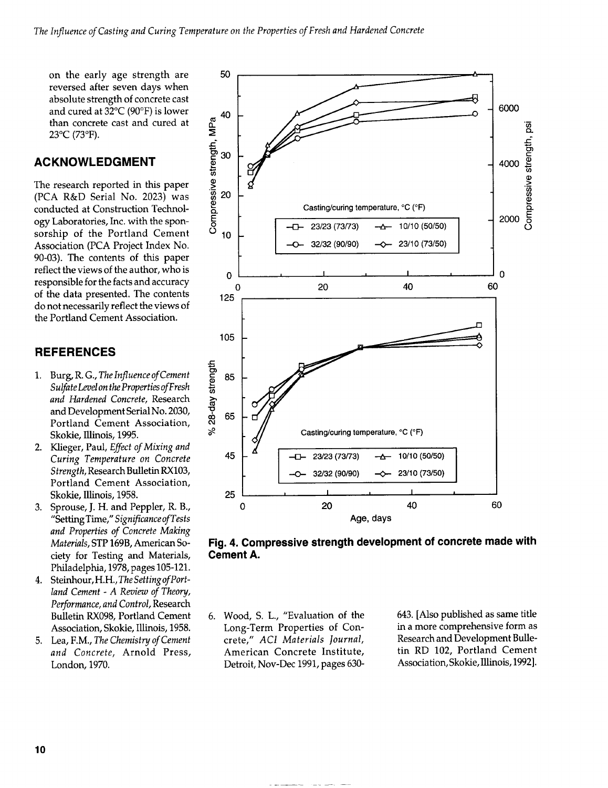on the early age strength are reversed after seven days when absolute strength of concrete cast and cured at 32°C (90°F) is lower than concrete cast and cured at 23°C (73°F).

# **ACKNOWLEDGMENT**

The research reported in this paper (PCA R&D Serial No. 2023) was conducted at Construction Technology Laboratories, Inc. with the sponsorship of the Portland Cement Association (PCA Project Index No. 90-03). The contents of this paper reflect the views of the author, who is responsible for the facts and accuracy of the data presented. The contents do not necessarily reflect the views of the Portland Cement Association.

# **REFERENCES**

- 1. Burg, R. G., The Influence of Cement Sulfate Level on the Properties of Fresh and Hardened Concrete, Research and Development Serial No. 2030, Portland Cement Association, Skokie, Illinois, 1995.
- 2. Klieger, Paul, Effect of Mixing and Curing Temperature on Concrete Strength, Research Bulletin RX103, Portland Cement Association, Skokie. Illinois. 1958.
- 3. Sprouse, J. H. and Peppler, R. B., "Setting Time," Significance of Tests and Properties of Concrete Making Materials, STP 169B, American Society for Testing and Materials, Philadelphia, 1978, pages 105-121.
- 4. Steinhour, H.H., The Setting of Portland Cement - A Review of Theory, Performance, and Control, Research Bulletin RX098, Portland Cement Association, Skokie, Illinois, 1958.
- 5. Lea, F.M., The Chemistry of Cement and Concrete, Arnold Press, London, 1970.





6. Wood, S. L., "Evaluation of the Long-Term Properties of Concrete," ACI Materials Journal, American Concrete Institute, Detroit, Nov-Dec 1991, pages 630643. [Also published as same title in a more comprehensive form as Research and Development Bulletin RD 102, Portland Cement Association, Skokie, Illinois, 1992].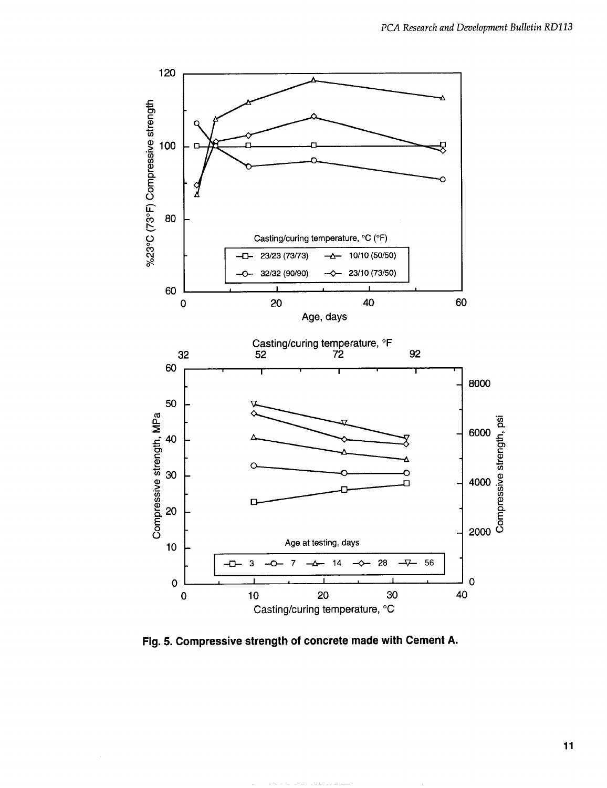

Fig. **5. Compressive strength of concrete made with Cement A.**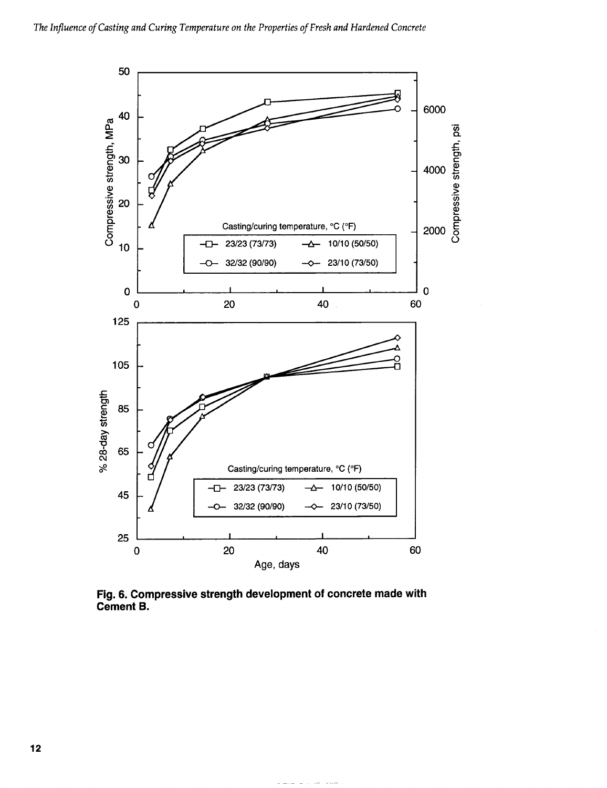

Fig. 6. Compressive strength development of concrete made with **Cement B.**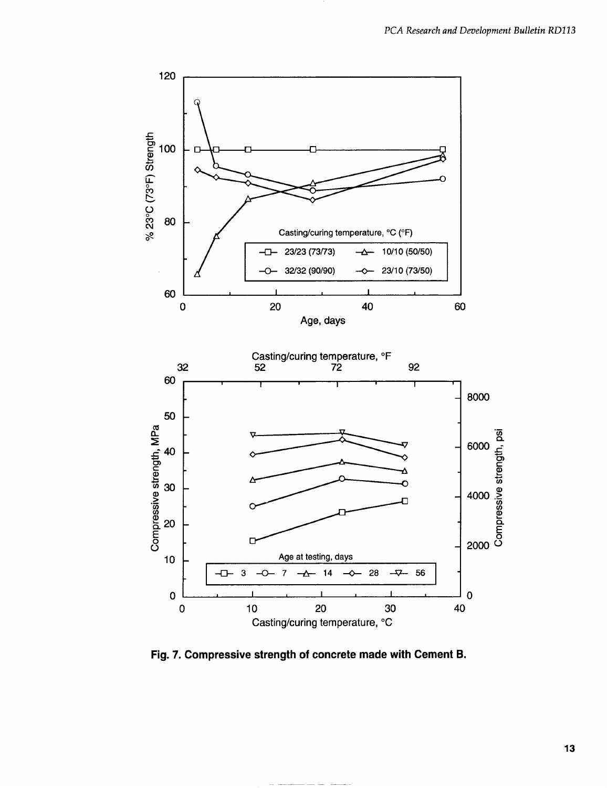

Fig. *7.* **Compressive strength of concrete made with Cement B.**

—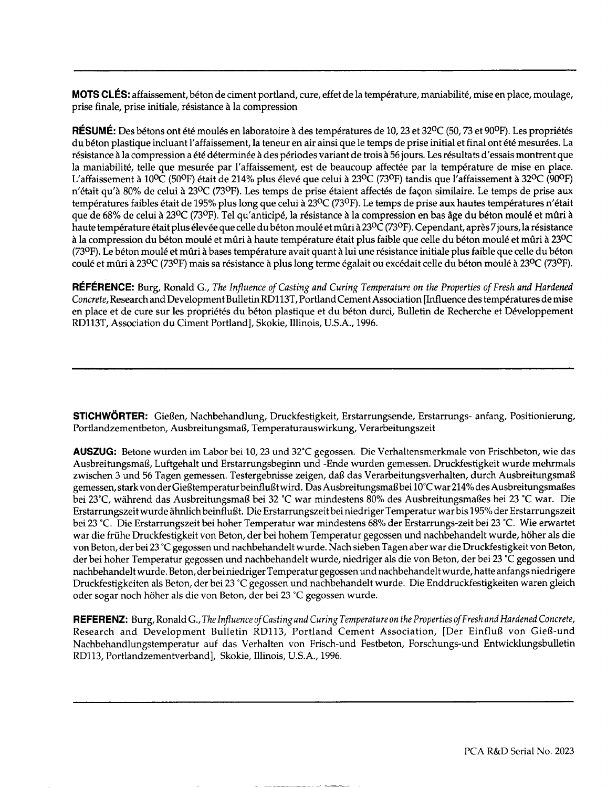MOTS CLÉS: affaissement, béton de ciment portland, cure, effet de la température, maniabilité, mise en place, moulage, prise finale, prise initiale, résistance à la compression

RESUME: Des bétons ont été moulés en laboratoire à des températures de 10, 23 et 32°C (50, 73 et 90°F). Les propriétés du béton plastique incluant l'affaissement, la teneur en air ainsi que le temps de prise initial et final ont été mesurées. La résistance à la compression a été déterminée à des périodes variant de trois à 56 jours. Les résultats d'essais montrent que la maniabilité, telle que mesurée par l'affaissement, est de beaucoup affectée par la température de mise en place. L'affaissement à 10<sup>o</sup>C (50<sup>o</sup>F) était de 214% plus élevé que celui à 23<sup>o</sup>C (73<sup>o</sup>F) tandis que l'affaissement à 32<sup>o</sup>C (90<sup>o</sup>F) n'était qu'à 80% de celui à 23<sup>o</sup>C (73<sup>o</sup>F). Les temps de prise étaient affectés de façon similaire. Le temps de prise aux températures faibles était de 195% plus long que celui à 23<sup>0</sup>C (73°F). Le temps de prise aux hautes températures n'était que de 68% de celui à 23°C (73°F). Tel qu'anticipé, la résistance à la compression en bas âge du béton moulé et mûri à haute température était plus élevée que celle du béton moulé et mûri à 23°C (73°F). Cependant, après 7 jours, la résistance à la compression du béton moulé et mûri à haute température était plus faible que celle du béton moulé et mûri à 23°C (73ºF). Le béton moulé et mûri à bases température avait quant à lui une résistance initiale plus faible que celle du béton coulé et mûri à 23<sup>o</sup>C (73<sup>o</sup>F) mais sa résistance à plus long terme égalait ou excédait celle du béton moulé à 23<sup>o</sup>C (73<sup>o</sup>F).

REFERENCE: Burg, Ronald G., *The lnjluence of Casting and Curing Temperature on the Properties of Fresh and Hardened Concrete,* Research and Development Bulletin RDl13T, Portland Cement Association [Influence des temperatures demise en place et de cure sur les propriétés du béton plastique et du béton durci, Bulletin de Recherche et Développement RD113T, Association du Ciment Portland], Skokie, Illinois, U.S.A., 1996.

**STICHWORTER:** Gießen, Nachbehandlung, Druckfestigkeit, Erstarrungsende, Erstarrungs- anfang, Positionierung, Portlandzementbeton, Ausbreitungsmaß, Temperaturauswirkung, Verarbeitungszeit

**AUSZUG:**Betone wurden im Labor bei 10,23 und 32°C gegossen. Die Verhaltensmerkmale von Frischbeton, wie das Ausbreitungsmai3, Luftgehalt und Erstarrungsbeginn und -Ende wurden gemessen. Druckfestigkeit wurde mehrmals zwischen 3 und 56 Tagen gemessen. Testergebnisse zeigen, daß das Verarbeitungsverhalten, durch Ausbreitungsmaß gemessen, stark von der Gießtemperatur beinflußt wird. Das Ausbreitungsmaß bei 10°C war 214% des Ausbreitungsmaßes bei 23°C, während das Ausbreitungsmaß bei 32 °C war mindestens 80% des Ausbreitungsmaßes bei 23 °C war. Die Erstarrungszeit wurde ähnlich beinflußt. Die Erstarrungszeit bei niedriger Temperatur war bis 195% der Erstarrungszeit bei 23 °C. Die Erstarrungszeit bei hoher Temperatur war mindestens 68% der Erstarrungs-zeit bei 23 °C. Wie erwartet war die frühe Druckfestigkeit von Beton, der bei hohem Temperatur gegossen und nachbehandelt wurde, höher als die von Beton, der bei 23 "Cgegossen und nachbehandelt wurde, Nach sieben Tagen aber war die Druckfestigkeit von Beton, der bei hoher Temperatur gegossen und nachbehandelt wurde, niedriger als die von Beton, der bei 23 °C gegossen und nachbehandelt wurde. Beton, der bei niedriger Temperatur gegossen und nachbehandelt wurde, hatte anfangs niedrigere Druckfestigkeiten als Beton, der bei 23 "C gegossen und nachbehandelt wurde. Die Enddruckfestigkeiten waren gleich oder sogar noch hoher als die von Beton, der bei 23 "C gegossen wurde.

**REFERENZ:** Burg, Ronald G., The Influence of Casting and Curing Temperature on the Properties of Fresh and Hardened Concrete, Research and Development Bulletin RD113, Portland Cement Association, [Der Einfluß von Gieß-und Nachbehandlungstemperatur auf das Verhalten von Frisch-und Festbeton, Forschungs-und Entwicklungsbulletin RD113, Portlandzementverband], Skokie, Illinois, U.S.A., 1996.

——